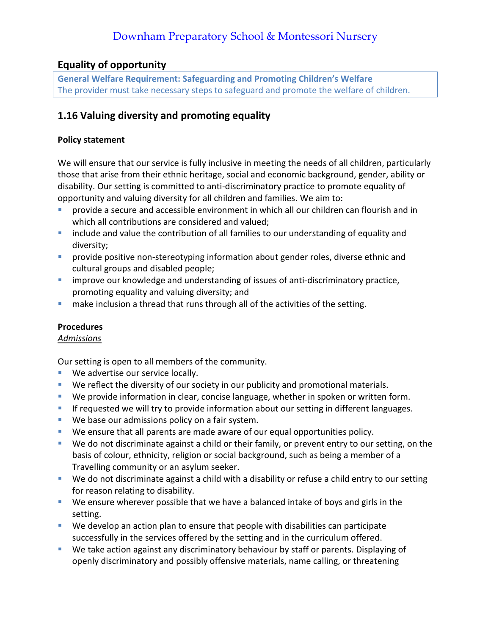# **Equality of opportunity**

**General Welfare Requirement: Safeguarding and Promoting Children's Welfare** The provider must take necessary steps to safeguard and promote the welfare of children.

# **1.16 Valuing diversity and promoting equality**

#### **Policy statement**

We will ensure that our service is fully inclusive in meeting the needs of all children, particularly those that arise from their ethnic heritage, social and economic background, gender, ability or disability. Our setting is committed to anti-discriminatory practice to promote equality of opportunity and valuing diversity for all children and families. We aim to:

- provide a secure and accessible environment in which all our children can flourish and in which all contributions are considered and valued;
- **E** include and value the contribution of all families to our understanding of equality and diversity;
- **•** provide positive non-stereotyping information about gender roles, diverse ethnic and cultural groups and disabled people;
- **E** improve our knowledge and understanding of issues of anti-discriminatory practice, promoting equality and valuing diversity; and
- **■** make inclusion a thread that runs through all of the activities of the setting.

## **Procedures**

## *Admissions*

Our setting is open to all members of the community.

- We advertise our service locally.
- We reflect the diversity of our society in our publicity and promotional materials.
- We provide information in clear, concise language, whether in spoken or written form.
- **EXT** If requested we will try to provide information about our setting in different languages.
- We base our admissions policy on a fair system.
- We ensure that all parents are made aware of our equal opportunities policy.
- We do not discriminate against a child or their family, or prevent entry to our setting, on the basis of colour, ethnicity, religion or social background, such as being a member of a Travelling community or an asylum seeker.
- We do not discriminate against a child with a disability or refuse a child entry to our setting for reason relating to disability.
- We ensure wherever possible that we have a balanced intake of boys and girls in the setting.
- We develop an action plan to ensure that people with disabilities can participate successfully in the services offered by the setting and in the curriculum offered.
- We take action against any discriminatory behaviour by staff or parents. Displaying of openly discriminatory and possibly offensive materials, name calling, or threatening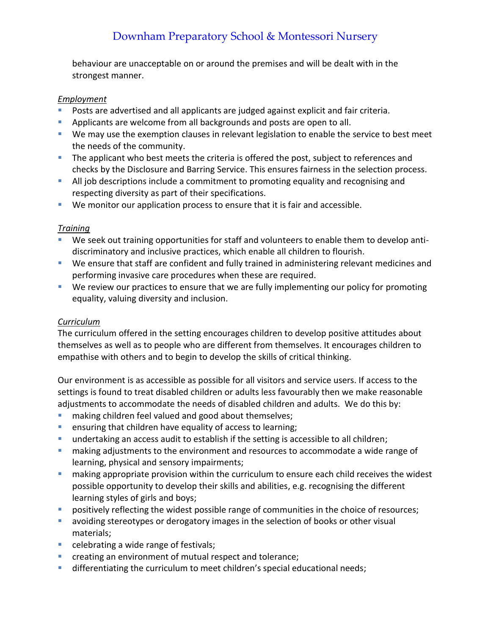behaviour are unacceptable on or around the premises and will be dealt with in the strongest manner.

#### *Employment*

- **•** Posts are advertised and all applicants are judged against explicit and fair criteria.
- **E** Applicants are welcome from all backgrounds and posts are open to all.
- We may use the exemption clauses in relevant legislation to enable the service to best meet the needs of the community.
- **•** The applicant who best meets the criteria is offered the post, subject to references and checks by the Disclosure and Barring Service. This ensures fairness in the selection process.
- **E** All job descriptions include a commitment to promoting equality and recognising and respecting diversity as part of their specifications.
- We monitor our application process to ensure that it is fair and accessible.

## *Training*

- We seek out training opportunities for staff and volunteers to enable them to develop antidiscriminatory and inclusive practices, which enable all children to flourish.
- We ensure that staff are confident and fully trained in administering relevant medicines and performing invasive care procedures when these are required.
- We review our practices to ensure that we are fully implementing our policy for promoting equality, valuing diversity and inclusion.

# *Curriculum*

The curriculum offered in the setting encourages children to develop positive attitudes about themselves as well as to people who are different from themselves. It encourages children to empathise with others and to begin to develop the skills of critical thinking.

Our environment is as accessible as possible for all visitors and service users. If access to the settings is found to treat disabled children or adults less favourably then we make reasonable adjustments to accommodate the needs of disabled children and adults. We do this by:

- making children feel valued and good about themselves;
- ensuring that children have equality of access to learning;
- **■** undertaking an access audit to establish if the setting is accessible to all children;
- **E** making adjustments to the environment and resources to accommodate a wide range of learning, physical and sensory impairments;
- making appropriate provision within the curriculum to ensure each child receives the widest possible opportunity to develop their skills and abilities, e.g. recognising the different learning styles of girls and boys;
- positively reflecting the widest possible range of communities in the choice of resources;
- **E** avoiding stereotypes or derogatory images in the selection of books or other visual materials;
- celebrating a wide range of festivals;
- creating an environment of mutual respect and tolerance;
- **■** differentiating the curriculum to meet children's special educational needs;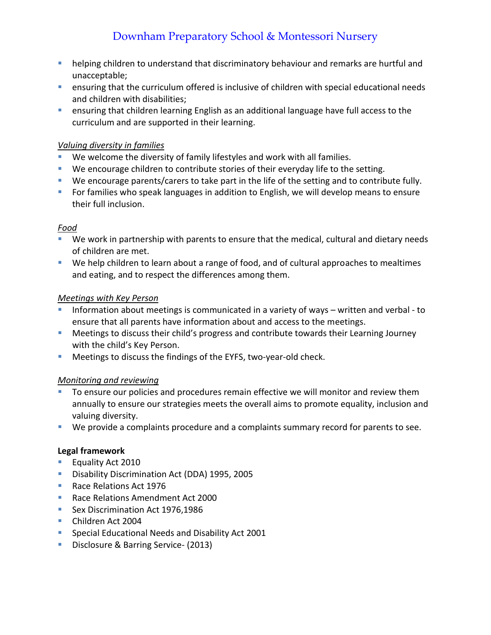- helping children to understand that discriminatory behaviour and remarks are hurtful and unacceptable;
- ensuring that the curriculum offered is inclusive of children with special educational needs and children with disabilities;
- **E** ensuring that children learning English as an additional language have full access to the curriculum and are supported in their learning.

## *Valuing diversity in families*

- We welcome the diversity of family lifestyles and work with all families.
- **We encourage children to contribute stories of their everyday life to the setting.**
- We encourage parents/carers to take part in the life of the setting and to contribute fully.
- For families who speak languages in addition to English, we will develop means to ensure their full inclusion.

# *Food*

- We work in partnership with parents to ensure that the medical, cultural and dietary needs of children are met.
- We help children to learn about a range of food, and of cultural approaches to mealtimes and eating, and to respect the differences among them.

## *Meetings with Key Person*

- Information about meetings is communicated in a variety of ways written and verbal to ensure that all parents have information about and access to the meetings.
- Meetings to discuss their child's progress and contribute towards their Learning Journey with the child's Key Person.
- **E** Meetings to discuss the findings of the EYFS, two-year-old check.

# *Monitoring and reviewing*

- To ensure our policies and procedures remain effective we will monitor and review them annually to ensure our strategies meets the overall aims to promote equality, inclusion and valuing diversity.
- We provide a complaints procedure and a complaints summary record for parents to see.

## **Legal framework**

- Equality Act 2010
- **Disability Discrimination Act (DDA) 1995, 2005**
- Race Relations Act 1976
- Race Relations Amendment Act 2000
- Sex Discrimination Act 1976,1986
- Children Act 2004
- Special Educational Needs and Disability Act 2001
- **Disclosure & Barring Service- (2013)**